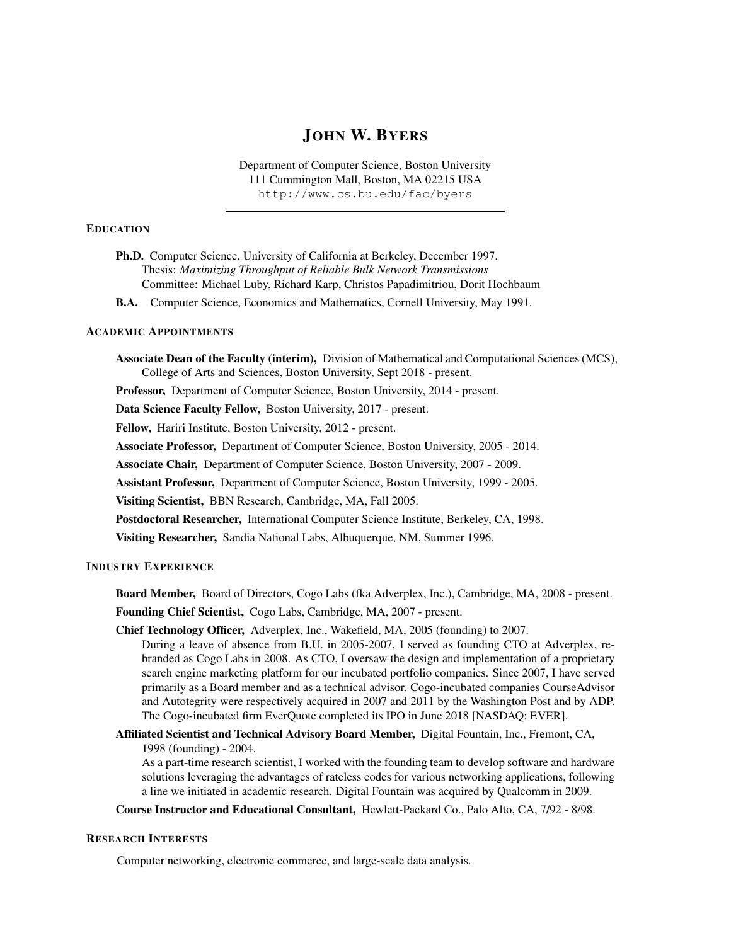# JOHN W. BYERS

Department of Computer Science, Boston University 111 Cummington Mall, Boston, MA 02215 USA http://www.cs.bu.edu/fac/byers

## **EDUCATION**

| <b>Ph.D.</b> Computer Science, University of California at Berkeley, December 1997. |
|-------------------------------------------------------------------------------------|
| Thesis: Maximizing Throughput of Reliable Bulk Network Transmissions                |
| Committee: Michael Luby, Richard Karp, Christos Papadimitriou, Dorit Hochbaum       |

B.A. Computer Science, Economics and Mathematics, Cornell University, May 1991.

# ACADEMIC APPOINTMENTS

Associate Dean of the Faculty (interim), Division of Mathematical and Computational Sciences (MCS), College of Arts and Sciences, Boston University, Sept 2018 - present.

Professor, Department of Computer Science, Boston University, 2014 - present.

Data Science Faculty Fellow, Boston University, 2017 - present.

Fellow, Hariri Institute, Boston University, 2012 - present.

Associate Professor, Department of Computer Science, Boston University, 2005 - 2014.

Associate Chair, Department of Computer Science, Boston University, 2007 - 2009.

Assistant Professor, Department of Computer Science, Boston University, 1999 - 2005.

Visiting Scientist, BBN Research, Cambridge, MA, Fall 2005.

Postdoctoral Researcher, International Computer Science Institute, Berkeley, CA, 1998.

Visiting Researcher, Sandia National Labs, Albuquerque, NM, Summer 1996.

# INDUSTRY EXPERIENCE

Board Member, Board of Directors, Cogo Labs (fka Adverplex, Inc.), Cambridge, MA, 2008 - present. Founding Chief Scientist, Cogo Labs, Cambridge, MA, 2007 - present.

Chief Technology Officer, Adverplex, Inc., Wakefield, MA, 2005 (founding) to 2007.

During a leave of absence from B.U. in 2005-2007, I served as founding CTO at Adverplex, rebranded as Cogo Labs in 2008. As CTO, I oversaw the design and implementation of a proprietary search engine marketing platform for our incubated portfolio companies. Since 2007, I have served primarily as a Board member and as a technical advisor. Cogo-incubated companies CourseAdvisor and Autotegrity were respectively acquired in 2007 and 2011 by the Washington Post and by ADP. The Cogo-incubated firm EverQuote completed its IPO in June 2018 [NASDAQ: EVER].

Affiliated Scientist and Technical Advisory Board Member, Digital Fountain, Inc., Fremont, CA, 1998 (founding) - 2004.

As a part-time research scientist, I worked with the founding team to develop software and hardware solutions leveraging the advantages of rateless codes for various networking applications, following a line we initiated in academic research. Digital Fountain was acquired by Qualcomm in 2009.

Course Instructor and Educational Consultant, Hewlett-Packard Co., Palo Alto, CA, 7/92 - 8/98.

#### RESEARCH INTERESTS

Computer networking, electronic commerce, and large-scale data analysis.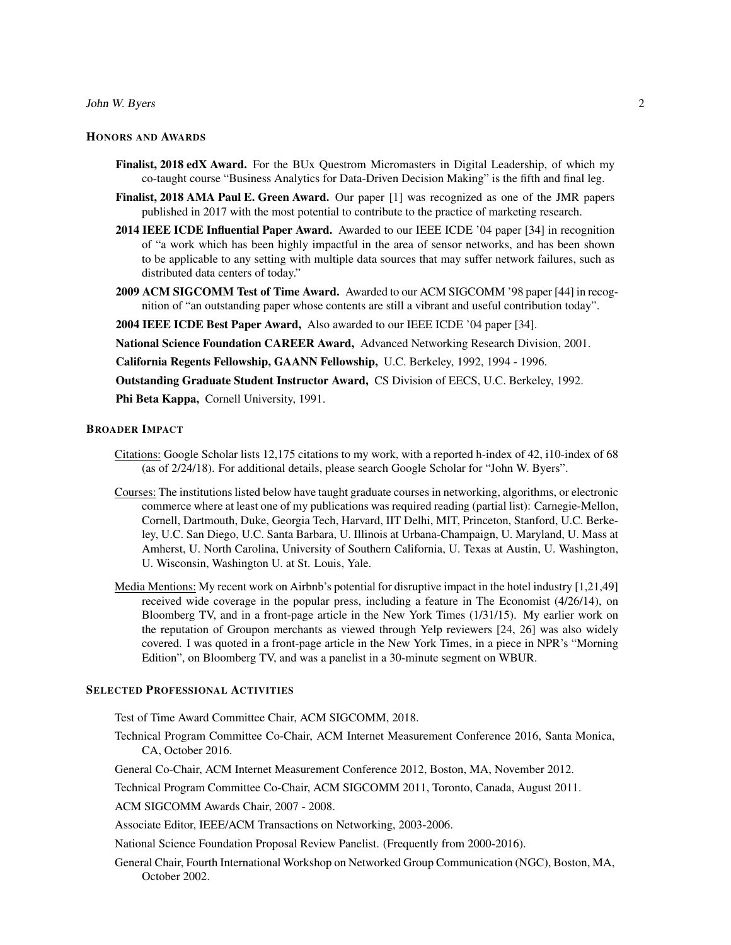#### John W. Byers 2

# HONORS AND AWARDS

- Finalist, 2018 edX Award. For the BUx Questrom Micromasters in Digital Leadership, of which my co-taught course "Business Analytics for Data-Driven Decision Making" is the fifth and final leg.
- Finalist, 2018 AMA Paul E. Green Award. Our paper [1] was recognized as one of the JMR papers published in 2017 with the most potential to contribute to the practice of marketing research.
- 2014 IEEE ICDE Influential Paper Award. Awarded to our IEEE ICDE '04 paper [34] in recognition of "a work which has been highly impactful in the area of sensor networks, and has been shown to be applicable to any setting with multiple data sources that may suffer network failures, such as distributed data centers of today."
- 2009 ACM SIGCOMM Test of Time Award. Awarded to our ACM SIGCOMM '98 paper [44] in recognition of "an outstanding paper whose contents are still a vibrant and useful contribution today".
- 2004 IEEE ICDE Best Paper Award, Also awarded to our IEEE ICDE '04 paper [34].

National Science Foundation CAREER Award, Advanced Networking Research Division, 2001.

California Regents Fellowship, GAANN Fellowship, U.C. Berkeley, 1992, 1994 - 1996.

Outstanding Graduate Student Instructor Award, CS Division of EECS, U.C. Berkeley, 1992.

Phi Beta Kappa, Cornell University, 1991.

## BROADER IMPACT

- Citations: Google Scholar lists 12,175 citations to my work, with a reported h-index of 42, i10-index of 68 (as of 2/24/18). For additional details, please search Google Scholar for "John W. Byers".
- Courses: The institutions listed below have taught graduate courses in networking, algorithms, or electronic commerce where at least one of my publications was required reading (partial list): Carnegie-Mellon, Cornell, Dartmouth, Duke, Georgia Tech, Harvard, IIT Delhi, MIT, Princeton, Stanford, U.C. Berkeley, U.C. San Diego, U.C. Santa Barbara, U. Illinois at Urbana-Champaign, U. Maryland, U. Mass at Amherst, U. North Carolina, University of Southern California, U. Texas at Austin, U. Washington, U. Wisconsin, Washington U. at St. Louis, Yale.
- Media Mentions: My recent work on Airbnb's potential for disruptive impact in the hotel industry [1,21,49] received wide coverage in the popular press, including a feature in The Economist (4/26/14), on Bloomberg TV, and in a front-page article in the New York Times (1/31/15). My earlier work on the reputation of Groupon merchants as viewed through Yelp reviewers [24, 26] was also widely covered. I was quoted in a front-page article in the New York Times, in a piece in NPR's "Morning Edition", on Bloomberg TV, and was a panelist in a 30-minute segment on WBUR.

# SELECTED PROFESSIONAL ACTIVITIES

Test of Time Award Committee Chair, ACM SIGCOMM, 2018.

Technical Program Committee Co-Chair, ACM Internet Measurement Conference 2016, Santa Monica, CA, October 2016.

General Co-Chair, ACM Internet Measurement Conference 2012, Boston, MA, November 2012.

Technical Program Committee Co-Chair, ACM SIGCOMM 2011, Toronto, Canada, August 2011.

ACM SIGCOMM Awards Chair, 2007 - 2008.

Associate Editor, IEEE/ACM Transactions on Networking, 2003-2006.

National Science Foundation Proposal Review Panelist. (Frequently from 2000-2016).

General Chair, Fourth International Workshop on Networked Group Communication (NGC), Boston, MA, October 2002.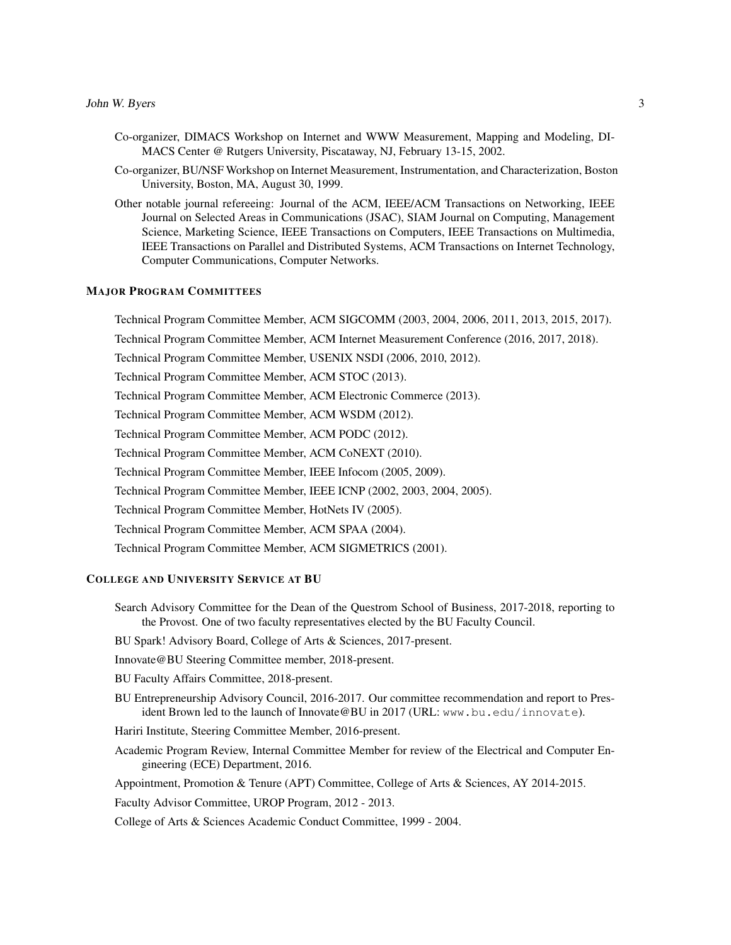- Co-organizer, DIMACS Workshop on Internet and WWW Measurement, Mapping and Modeling, DI-MACS Center @ Rutgers University, Piscataway, NJ, February 13-15, 2002.
- Co-organizer, BU/NSF Workshop on Internet Measurement, Instrumentation, and Characterization, Boston University, Boston, MA, August 30, 1999.
- Other notable journal refereeing: Journal of the ACM, IEEE/ACM Transactions on Networking, IEEE Journal on Selected Areas in Communications (JSAC), SIAM Journal on Computing, Management Science, Marketing Science, IEEE Transactions on Computers, IEEE Transactions on Multimedia, IEEE Transactions on Parallel and Distributed Systems, ACM Transactions on Internet Technology, Computer Communications, Computer Networks.

# MAJOR PROGRAM COMMITTEES

Technical Program Committee Member, ACM SIGCOMM (2003, 2004, 2006, 2011, 2013, 2015, 2017). Technical Program Committee Member, ACM Internet Measurement Conference (2016, 2017, 2018). Technical Program Committee Member, USENIX NSDI (2006, 2010, 2012). Technical Program Committee Member, ACM STOC (2013). Technical Program Committee Member, ACM Electronic Commerce (2013). Technical Program Committee Member, ACM WSDM (2012). Technical Program Committee Member, ACM PODC (2012). Technical Program Committee Member, ACM CoNEXT (2010). Technical Program Committee Member, IEEE Infocom (2005, 2009). Technical Program Committee Member, IEEE ICNP (2002, 2003, 2004, 2005). Technical Program Committee Member, HotNets IV (2005). Technical Program Committee Member, ACM SPAA (2004). Technical Program Committee Member, ACM SIGMETRICS (2001).

# COLLEGE AND UNIVERSITY SERVICE AT BU

- Search Advisory Committee for the Dean of the Questrom School of Business, 2017-2018, reporting to the Provost. One of two faculty representatives elected by the BU Faculty Council.
- BU Spark! Advisory Board, College of Arts & Sciences, 2017-present.
- Innovate@BU Steering Committee member, 2018-present.
- BU Faculty Affairs Committee, 2018-present.
- BU Entrepreneurship Advisory Council, 2016-2017. Our committee recommendation and report to President Brown led to the launch of Innovate@BU in 2017 (URL: www.bu.edu/innovate).
- Hariri Institute, Steering Committee Member, 2016-present.
- Academic Program Review, Internal Committee Member for review of the Electrical and Computer Engineering (ECE) Department, 2016.
- Appointment, Promotion & Tenure (APT) Committee, College of Arts & Sciences, AY 2014-2015.
- Faculty Advisor Committee, UROP Program, 2012 2013.
- College of Arts & Sciences Academic Conduct Committee, 1999 2004.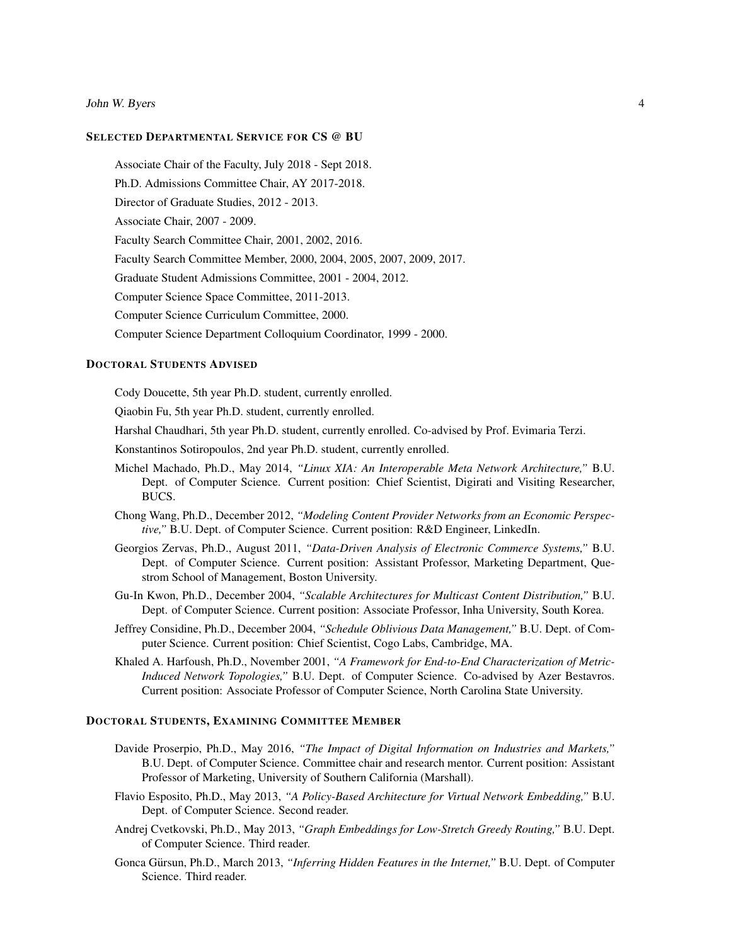John W. Byers 4

# SELECTED DEPARTMENTAL SERVICE FOR CS @ BU

Associate Chair of the Faculty, July 2018 - Sept 2018.

Ph.D. Admissions Committee Chair, AY 2017-2018.

Director of Graduate Studies, 2012 - 2013.

Associate Chair, 2007 - 2009.

Faculty Search Committee Chair, 2001, 2002, 2016.

Faculty Search Committee Member, 2000, 2004, 2005, 2007, 2009, 2017.

Graduate Student Admissions Committee, 2001 - 2004, 2012.

Computer Science Space Committee, 2011-2013.

Computer Science Curriculum Committee, 2000.

Computer Science Department Colloquium Coordinator, 1999 - 2000.

# DOCTORAL STUDENTS ADVISED

Cody Doucette, 5th year Ph.D. student, currently enrolled.

Qiaobin Fu, 5th year Ph.D. student, currently enrolled.

Harshal Chaudhari, 5th year Ph.D. student, currently enrolled. Co-advised by Prof. Evimaria Terzi.

Konstantinos Sotiropoulos, 2nd year Ph.D. student, currently enrolled.

- Michel Machado, Ph.D., May 2014, *"Linux XIA: An Interoperable Meta Network Architecture,"* B.U. Dept. of Computer Science. Current position: Chief Scientist, Digirati and Visiting Researcher, BUCS.
- Chong Wang, Ph.D., December 2012, *"Modeling Content Provider Networks from an Economic Perspective,"* B.U. Dept. of Computer Science. Current position: R&D Engineer, LinkedIn.
- Georgios Zervas, Ph.D., August 2011, *"Data-Driven Analysis of Electronic Commerce Systems,"* B.U. Dept. of Computer Science. Current position: Assistant Professor, Marketing Department, Questrom School of Management, Boston University.
- Gu-In Kwon, Ph.D., December 2004, *"Scalable Architectures for Multicast Content Distribution,"* B.U. Dept. of Computer Science. Current position: Associate Professor, Inha University, South Korea.
- Jeffrey Considine, Ph.D., December 2004, *"Schedule Oblivious Data Management,"* B.U. Dept. of Computer Science. Current position: Chief Scientist, Cogo Labs, Cambridge, MA.
- Khaled A. Harfoush, Ph.D., November 2001, *"A Framework for End-to-End Characterization of Metric-Induced Network Topologies,"* B.U. Dept. of Computer Science. Co-advised by Azer Bestavros. Current position: Associate Professor of Computer Science, North Carolina State University.

## DOCTORAL STUDENTS, EXAMINING COMMITTEE MEMBER

- Davide Proserpio, Ph.D., May 2016, *"The Impact of Digital Information on Industries and Markets,"* B.U. Dept. of Computer Science. Committee chair and research mentor. Current position: Assistant Professor of Marketing, University of Southern California (Marshall).
- Flavio Esposito, Ph.D., May 2013, *"A Policy-Based Architecture for Virtual Network Embedding,"* B.U. Dept. of Computer Science. Second reader.
- Andrej Cvetkovski, Ph.D., May 2013, *"Graph Embeddings for Low-Stretch Greedy Routing,"* B.U. Dept. of Computer Science. Third reader.
- Gonca Gürsun, Ph.D., March 2013, "*Inferring Hidden Features in the Internet*," B.U. Dept. of Computer Science. Third reader.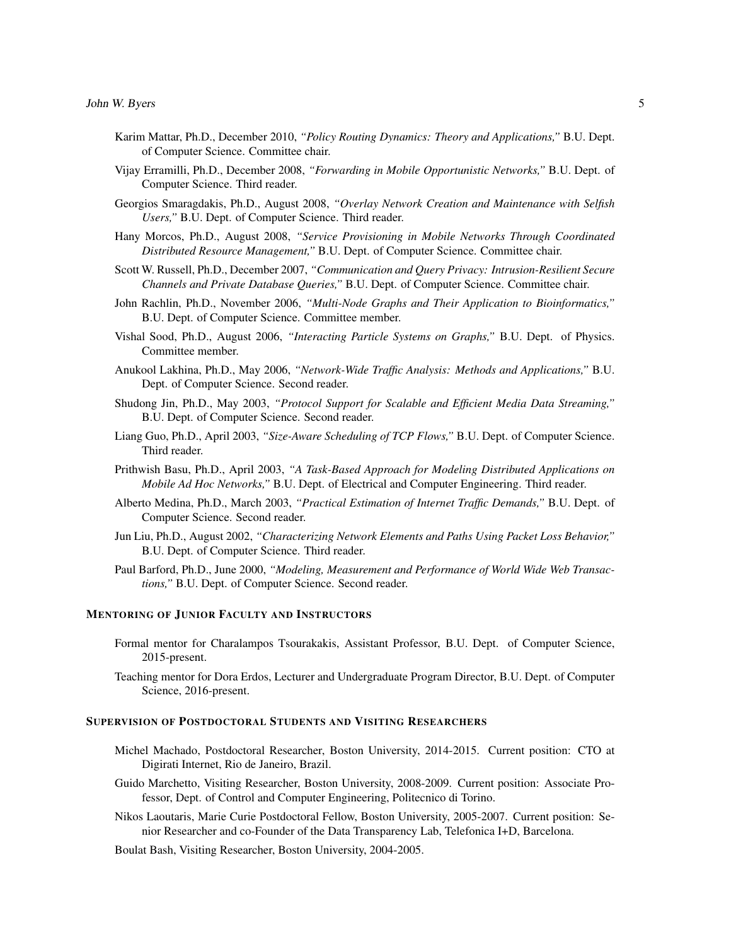- Karim Mattar, Ph.D., December 2010, *"Policy Routing Dynamics: Theory and Applications,"* B.U. Dept. of Computer Science. Committee chair.
- Vijay Erramilli, Ph.D., December 2008, *"Forwarding in Mobile Opportunistic Networks,"* B.U. Dept. of Computer Science. Third reader.
- Georgios Smaragdakis, Ph.D., August 2008, *"Overlay Network Creation and Maintenance with Selfish Users,"* B.U. Dept. of Computer Science. Third reader.
- Hany Morcos, Ph.D., August 2008, *"Service Provisioning in Mobile Networks Through Coordinated Distributed Resource Management,"* B.U. Dept. of Computer Science. Committee chair.
- Scott W. Russell, Ph.D., December 2007, *"Communication and Query Privacy: Intrusion-Resilient Secure Channels and Private Database Queries,"* B.U. Dept. of Computer Science. Committee chair.
- John Rachlin, Ph.D., November 2006, *"Multi-Node Graphs and Their Application to Bioinformatics,"* B.U. Dept. of Computer Science. Committee member.
- Vishal Sood, Ph.D., August 2006, *"Interacting Particle Systems on Graphs,"* B.U. Dept. of Physics. Committee member.
- Anukool Lakhina, Ph.D., May 2006, *"Network-Wide Traffic Analysis: Methods and Applications,"* B.U. Dept. of Computer Science. Second reader.
- Shudong Jin, Ph.D., May 2003, *"Protocol Support for Scalable and Efficient Media Data Streaming,"* B.U. Dept. of Computer Science. Second reader.
- Liang Guo, Ph.D., April 2003, *"Size-Aware Scheduling of TCP Flows,"* B.U. Dept. of Computer Science. Third reader.
- Prithwish Basu, Ph.D., April 2003, *"A Task-Based Approach for Modeling Distributed Applications on Mobile Ad Hoc Networks,"* B.U. Dept. of Electrical and Computer Engineering. Third reader.
- Alberto Medina, Ph.D., March 2003, *"Practical Estimation of Internet Traffic Demands,"* B.U. Dept. of Computer Science. Second reader.
- Jun Liu, Ph.D., August 2002, *"Characterizing Network Elements and Paths Using Packet Loss Behavior,"* B.U. Dept. of Computer Science. Third reader.
- Paul Barford, Ph.D., June 2000, *"Modeling, Measurement and Performance of World Wide Web Transactions,"* B.U. Dept. of Computer Science. Second reader.

# MENTORING OF JUNIOR FACULTY AND INSTRUCTORS

- Formal mentor for Charalampos Tsourakakis, Assistant Professor, B.U. Dept. of Computer Science, 2015-present.
- Teaching mentor for Dora Erdos, Lecturer and Undergraduate Program Director, B.U. Dept. of Computer Science, 2016-present.

# SUPERVISION OF POSTDOCTORAL STUDENTS AND VISITING RESEARCHERS

- Michel Machado, Postdoctoral Researcher, Boston University, 2014-2015. Current position: CTO at Digirati Internet, Rio de Janeiro, Brazil.
- Guido Marchetto, Visiting Researcher, Boston University, 2008-2009. Current position: Associate Professor, Dept. of Control and Computer Engineering, Politecnico di Torino.
- Nikos Laoutaris, Marie Curie Postdoctoral Fellow, Boston University, 2005-2007. Current position: Senior Researcher and co-Founder of the Data Transparency Lab, Telefonica I+D, Barcelona.
- Boulat Bash, Visiting Researcher, Boston University, 2004-2005.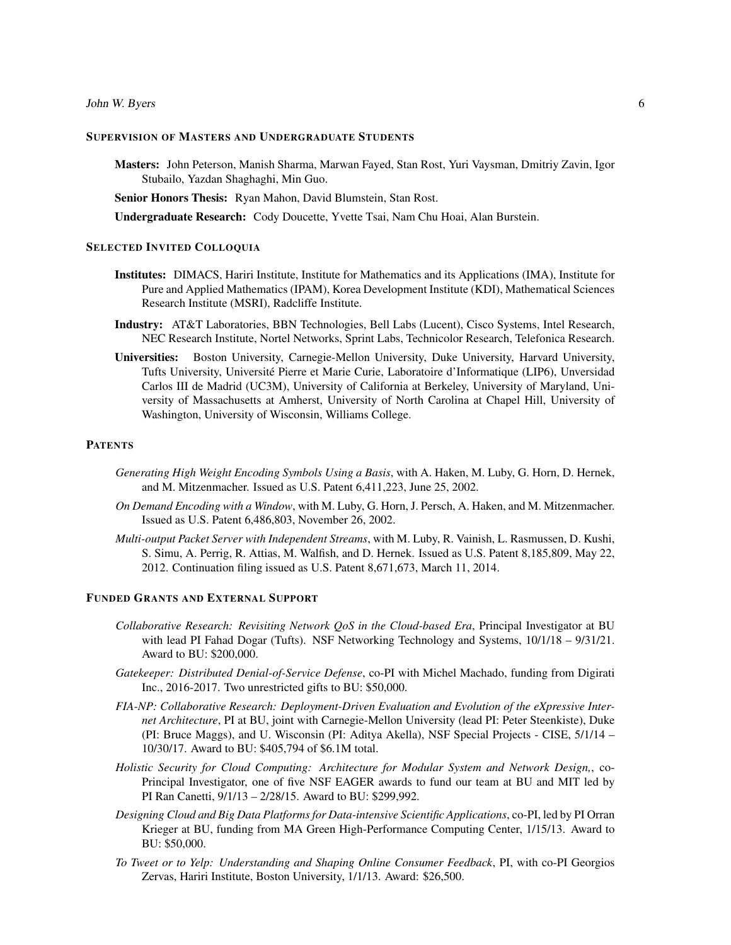#### John W. Byers 6

# SUPERVISION OF MASTERS AND UNDERGRADUATE STUDENTS

Masters: John Peterson, Manish Sharma, Marwan Fayed, Stan Rost, Yuri Vaysman, Dmitriy Zavin, Igor Stubailo, Yazdan Shaghaghi, Min Guo.

Senior Honors Thesis: Ryan Mahon, David Blumstein, Stan Rost.

Undergraduate Research: Cody Doucette, Yvette Tsai, Nam Chu Hoai, Alan Burstein.

# SELECTED INVITED COLLOQUIA

- Institutes: DIMACS, Hariri Institute, Institute for Mathematics and its Applications (IMA), Institute for Pure and Applied Mathematics (IPAM), Korea Development Institute (KDI), Mathematical Sciences Research Institute (MSRI), Radcliffe Institute.
- Industry: AT&T Laboratories, BBN Technologies, Bell Labs (Lucent), Cisco Systems, Intel Research, NEC Research Institute, Nortel Networks, Sprint Labs, Technicolor Research, Telefonica Research.
- Universities: Boston University, Carnegie-Mellon University, Duke University, Harvard University, Tufts University, Universite Pierre et Marie Curie, Laboratoire d'Informatique (LIP6), Unversidad ´ Carlos III de Madrid (UC3M), University of California at Berkeley, University of Maryland, University of Massachusetts at Amherst, University of North Carolina at Chapel Hill, University of Washington, University of Wisconsin, Williams College.

# **PATENTS**

- *Generating High Weight Encoding Symbols Using a Basis*, with A. Haken, M. Luby, G. Horn, D. Hernek, and M. Mitzenmacher. Issued as U.S. Patent 6,411,223, June 25, 2002.
- *On Demand Encoding with a Window*, with M. Luby, G. Horn, J. Persch, A. Haken, and M. Mitzenmacher. Issued as U.S. Patent 6,486,803, November 26, 2002.
- *Multi-output Packet Server with Independent Streams*, with M. Luby, R. Vainish, L. Rasmussen, D. Kushi, S. Simu, A. Perrig, R. Attias, M. Walfish, and D. Hernek. Issued as U.S. Patent 8,185,809, May 22, 2012. Continuation filing issued as U.S. Patent 8,671,673, March 11, 2014.

#### FUNDED GRANTS AND EXTERNAL SUPPORT

- *Collaborative Research: Revisiting Network QoS in the Cloud-based Era*, Principal Investigator at BU with lead PI Fahad Dogar (Tufts). NSF Networking Technology and Systems,  $10/1/18 - 9/31/21$ . Award to BU: \$200,000.
- *Gatekeeper: Distributed Denial-of-Service Defense*, co-PI with Michel Machado, funding from Digirati Inc., 2016-2017. Two unrestricted gifts to BU: \$50,000.
- *FIA-NP: Collaborative Research: Deployment-Driven Evaluation and Evolution of the eXpressive Internet Architecture*, PI at BU, joint with Carnegie-Mellon University (lead PI: Peter Steenkiste), Duke (PI: Bruce Maggs), and U. Wisconsin (PI: Aditya Akella), NSF Special Projects - CISE, 5/1/14 – 10/30/17. Award to BU: \$405,794 of \$6.1M total.
- *Holistic Security for Cloud Computing: Architecture for Modular System and Network Design,*, co-Principal Investigator, one of five NSF EAGER awards to fund our team at BU and MIT led by PI Ran Canetti, 9/1/13 – 2/28/15. Award to BU: \$299,992.
- *Designing Cloud and Big Data Platforms for Data-intensive Scientific Applications*, co-PI, led by PI Orran Krieger at BU, funding from MA Green High-Performance Computing Center, 1/15/13. Award to BU: \$50,000.
- *To Tweet or to Yelp: Understanding and Shaping Online Consumer Feedback*, PI, with co-PI Georgios Zervas, Hariri Institute, Boston University, 1/1/13. Award: \$26,500.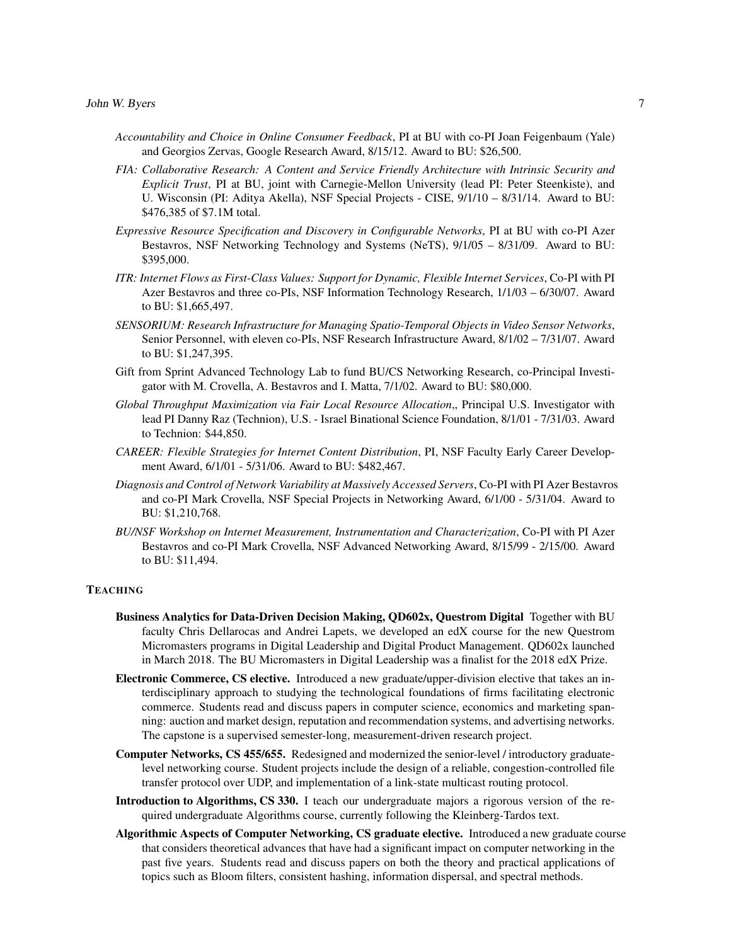- *Accountability and Choice in Online Consumer Feedback*, PI at BU with co-PI Joan Feigenbaum (Yale) and Georgios Zervas, Google Research Award, 8/15/12. Award to BU: \$26,500.
- *FIA: Collaborative Research: A Content and Service Friendly Architecture with Intrinsic Security and Explicit Trust*, PI at BU, joint with Carnegie-Mellon University (lead PI: Peter Steenkiste), and U. Wisconsin (PI: Aditya Akella), NSF Special Projects - CISE, 9/1/10 – 8/31/14. Award to BU: \$476,385 of \$7.1M total.
- *Expressive Resource Specification and Discovery in Configurable Networks*, PI at BU with co-PI Azer Bestavros, NSF Networking Technology and Systems (NeTS), 9/1/05 – 8/31/09. Award to BU: \$395,000.
- *ITR: Internet Flows as First-Class Values: Support for Dynamic, Flexible Internet Services*, Co-PI with PI Azer Bestavros and three co-PIs, NSF Information Technology Research, 1/1/03 – 6/30/07. Award to BU: \$1,665,497.
- *SENSORIUM: Research Infrastructure for Managing Spatio-Temporal Objects in Video Sensor Networks*, Senior Personnel, with eleven co-PIs, NSF Research Infrastructure Award, 8/1/02 – 7/31/07. Award to BU: \$1,247,395.
- Gift from Sprint Advanced Technology Lab to fund BU/CS Networking Research, co-Principal Investigator with M. Crovella, A. Bestavros and I. Matta, 7/1/02. Award to BU: \$80,000.
- *Global Throughput Maximization via Fair Local Resource Allocation*,, Principal U.S. Investigator with lead PI Danny Raz (Technion), U.S. - Israel Binational Science Foundation, 8/1/01 - 7/31/03. Award to Technion: \$44,850.
- *CAREER: Flexible Strategies for Internet Content Distribution*, PI, NSF Faculty Early Career Development Award, 6/1/01 - 5/31/06. Award to BU: \$482,467.
- *Diagnosis and Control of Network Variability at Massively Accessed Servers*, Co-PI with PI Azer Bestavros and co-PI Mark Crovella, NSF Special Projects in Networking Award, 6/1/00 - 5/31/04. Award to BU: \$1,210,768.
- *BU/NSF Workshop on Internet Measurement, Instrumentation and Characterization*, Co-PI with PI Azer Bestavros and co-PI Mark Crovella, NSF Advanced Networking Award, 8/15/99 - 2/15/00. Award to BU: \$11,494.

# **TEACHING**

- Business Analytics for Data-Driven Decision Making, QD602x, Questrom Digital Together with BU faculty Chris Dellarocas and Andrei Lapets, we developed an edX course for the new Questrom Micromasters programs in Digital Leadership and Digital Product Management. QD602x launched in March 2018. The BU Micromasters in Digital Leadership was a finalist for the 2018 edX Prize.
- Electronic Commerce, CS elective. Introduced a new graduate/upper-division elective that takes an interdisciplinary approach to studying the technological foundations of firms facilitating electronic commerce. Students read and discuss papers in computer science, economics and marketing spanning: auction and market design, reputation and recommendation systems, and advertising networks. The capstone is a supervised semester-long, measurement-driven research project.
- Computer Networks, CS 455/655. Redesigned and modernized the senior-level / introductory graduatelevel networking course. Student projects include the design of a reliable, congestion-controlled file transfer protocol over UDP, and implementation of a link-state multicast routing protocol.
- Introduction to Algorithms, CS 330. I teach our undergraduate majors a rigorous version of the required undergraduate Algorithms course, currently following the Kleinberg-Tardos text.
- Algorithmic Aspects of Computer Networking, CS graduate elective. Introduced a new graduate course that considers theoretical advances that have had a significant impact on computer networking in the past five years. Students read and discuss papers on both the theory and practical applications of topics such as Bloom filters, consistent hashing, information dispersal, and spectral methods.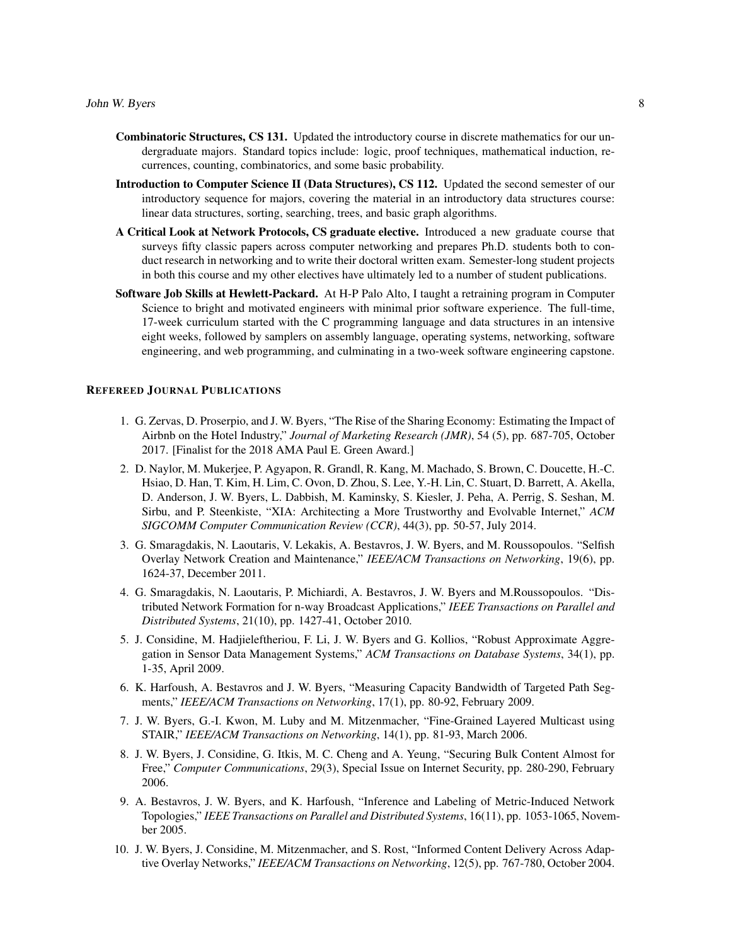- Combinatoric Structures, CS 131. Updated the introductory course in discrete mathematics for our undergraduate majors. Standard topics include: logic, proof techniques, mathematical induction, recurrences, counting, combinatorics, and some basic probability.
- Introduction to Computer Science II (Data Structures), CS 112. Updated the second semester of our introductory sequence for majors, covering the material in an introductory data structures course: linear data structures, sorting, searching, trees, and basic graph algorithms.
- A Critical Look at Network Protocols, CS graduate elective. Introduced a new graduate course that surveys fifty classic papers across computer networking and prepares Ph.D. students both to conduct research in networking and to write their doctoral written exam. Semester-long student projects in both this course and my other electives have ultimately led to a number of student publications.
- Software Job Skills at Hewlett-Packard. At H-P Palo Alto, I taught a retraining program in Computer Science to bright and motivated engineers with minimal prior software experience. The full-time, 17-week curriculum started with the C programming language and data structures in an intensive eight weeks, followed by samplers on assembly language, operating systems, networking, software engineering, and web programming, and culminating in a two-week software engineering capstone.

## REFEREED JOURNAL PUBLICATIONS

- 1. G. Zervas, D. Proserpio, and J. W. Byers, "The Rise of the Sharing Economy: Estimating the Impact of Airbnb on the Hotel Industry," *Journal of Marketing Research (JMR)*, 54 (5), pp. 687-705, October 2017. [Finalist for the 2018 AMA Paul E. Green Award.]
- 2. D. Naylor, M. Mukerjee, P. Agyapon, R. Grandl, R. Kang, M. Machado, S. Brown, C. Doucette, H.-C. Hsiao, D. Han, T. Kim, H. Lim, C. Ovon, D. Zhou, S. Lee, Y.-H. Lin, C. Stuart, D. Barrett, A. Akella, D. Anderson, J. W. Byers, L. Dabbish, M. Kaminsky, S. Kiesler, J. Peha, A. Perrig, S. Seshan, M. Sirbu, and P. Steenkiste, "XIA: Architecting a More Trustworthy and Evolvable Internet," *ACM SIGCOMM Computer Communication Review (CCR)*, 44(3), pp. 50-57, July 2014.
- 3. G. Smaragdakis, N. Laoutaris, V. Lekakis, A. Bestavros, J. W. Byers, and M. Roussopoulos. "Selfish Overlay Network Creation and Maintenance," *IEEE/ACM Transactions on Networking*, 19(6), pp. 1624-37, December 2011.
- 4. G. Smaragdakis, N. Laoutaris, P. Michiardi, A. Bestavros, J. W. Byers and M.Roussopoulos. "Distributed Network Formation for n-way Broadcast Applications," *IEEE Transactions on Parallel and Distributed Systems*, 21(10), pp. 1427-41, October 2010.
- 5. J. Considine, M. Hadjieleftheriou, F. Li, J. W. Byers and G. Kollios, "Robust Approximate Aggregation in Sensor Data Management Systems," *ACM Transactions on Database Systems*, 34(1), pp. 1-35, April 2009.
- 6. K. Harfoush, A. Bestavros and J. W. Byers, "Measuring Capacity Bandwidth of Targeted Path Segments," *IEEE/ACM Transactions on Networking*, 17(1), pp. 80-92, February 2009.
- 7. J. W. Byers, G.-I. Kwon, M. Luby and M. Mitzenmacher, "Fine-Grained Layered Multicast using STAIR," *IEEE/ACM Transactions on Networking*, 14(1), pp. 81-93, March 2006.
- 8. J. W. Byers, J. Considine, G. Itkis, M. C. Cheng and A. Yeung, "Securing Bulk Content Almost for Free," *Computer Communications*, 29(3), Special Issue on Internet Security, pp. 280-290, February 2006.
- 9. A. Bestavros, J. W. Byers, and K. Harfoush, "Inference and Labeling of Metric-Induced Network Topologies," *IEEE Transactions on Parallel and Distributed Systems*, 16(11), pp. 1053-1065, November 2005.
- 10. J. W. Byers, J. Considine, M. Mitzenmacher, and S. Rost, "Informed Content Delivery Across Adaptive Overlay Networks," *IEEE/ACM Transactions on Networking*, 12(5), pp. 767-780, October 2004.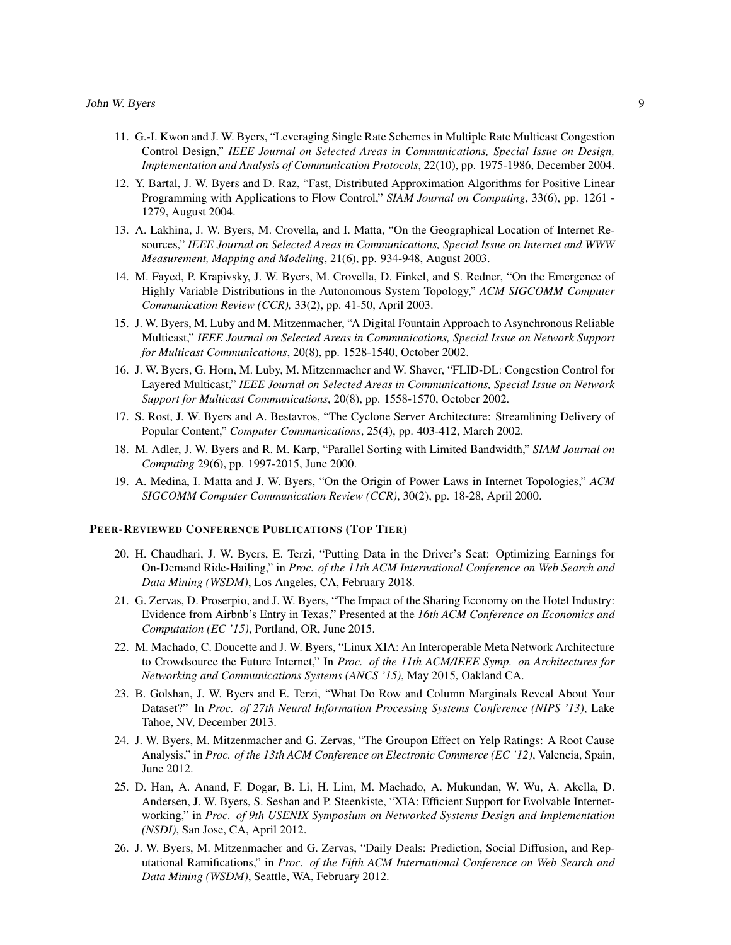- 11. G.-I. Kwon and J. W. Byers, "Leveraging Single Rate Schemes in Multiple Rate Multicast Congestion Control Design," *IEEE Journal on Selected Areas in Communications, Special Issue on Design, Implementation and Analysis of Communication Protocols*, 22(10), pp. 1975-1986, December 2004.
- 12. Y. Bartal, J. W. Byers and D. Raz, "Fast, Distributed Approximation Algorithms for Positive Linear Programming with Applications to Flow Control," *SIAM Journal on Computing*, 33(6), pp. 1261 - 1279, August 2004.
- 13. A. Lakhina, J. W. Byers, M. Crovella, and I. Matta, "On the Geographical Location of Internet Resources," *IEEE Journal on Selected Areas in Communications, Special Issue on Internet and WWW Measurement, Mapping and Modeling*, 21(6), pp. 934-948, August 2003.
- 14. M. Fayed, P. Krapivsky, J. W. Byers, M. Crovella, D. Finkel, and S. Redner, "On the Emergence of Highly Variable Distributions in the Autonomous System Topology," *ACM SIGCOMM Computer Communication Review (CCR),* 33(2), pp. 41-50, April 2003.
- 15. J. W. Byers, M. Luby and M. Mitzenmacher, "A Digital Fountain Approach to Asynchronous Reliable Multicast," *IEEE Journal on Selected Areas in Communications, Special Issue on Network Support for Multicast Communications*, 20(8), pp. 1528-1540, October 2002.
- 16. J. W. Byers, G. Horn, M. Luby, M. Mitzenmacher and W. Shaver, "FLID-DL: Congestion Control for Layered Multicast," *IEEE Journal on Selected Areas in Communications, Special Issue on Network Support for Multicast Communications*, 20(8), pp. 1558-1570, October 2002.
- 17. S. Rost, J. W. Byers and A. Bestavros, "The Cyclone Server Architecture: Streamlining Delivery of Popular Content," *Computer Communications*, 25(4), pp. 403-412, March 2002.
- 18. M. Adler, J. W. Byers and R. M. Karp, "Parallel Sorting with Limited Bandwidth," *SIAM Journal on Computing* 29(6), pp. 1997-2015, June 2000.
- 19. A. Medina, I. Matta and J. W. Byers, "On the Origin of Power Laws in Internet Topologies," *ACM SIGCOMM Computer Communication Review (CCR)*, 30(2), pp. 18-28, April 2000.

## PEER-REVIEWED CONFERENCE PUBLICATIONS (TOP TIER)

- 20. H. Chaudhari, J. W. Byers, E. Terzi, "Putting Data in the Driver's Seat: Optimizing Earnings for On-Demand Ride-Hailing," in *Proc. of the 11th ACM International Conference on Web Search and Data Mining (WSDM)*, Los Angeles, CA, February 2018.
- 21. G. Zervas, D. Proserpio, and J. W. Byers, "The Impact of the Sharing Economy on the Hotel Industry: Evidence from Airbnb's Entry in Texas," Presented at the *16th ACM Conference on Economics and Computation (EC '15)*, Portland, OR, June 2015.
- 22. M. Machado, C. Doucette and J. W. Byers, "Linux XIA: An Interoperable Meta Network Architecture to Crowdsource the Future Internet," In *Proc. of the 11th ACM/IEEE Symp. on Architectures for Networking and Communications Systems (ANCS '15)*, May 2015, Oakland CA.
- 23. B. Golshan, J. W. Byers and E. Terzi, "What Do Row and Column Marginals Reveal About Your Dataset?" In *Proc. of 27th Neural Information Processing Systems Conference (NIPS '13)*, Lake Tahoe, NV, December 2013.
- 24. J. W. Byers, M. Mitzenmacher and G. Zervas, "The Groupon Effect on Yelp Ratings: A Root Cause Analysis," in *Proc. of the 13th ACM Conference on Electronic Commerce (EC '12)*, Valencia, Spain, June 2012.
- 25. D. Han, A. Anand, F. Dogar, B. Li, H. Lim, M. Machado, A. Mukundan, W. Wu, A. Akella, D. Andersen, J. W. Byers, S. Seshan and P. Steenkiste, "XIA: Efficient Support for Evolvable Internetworking," in *Proc. of 9th USENIX Symposium on Networked Systems Design and Implementation (NSDI)*, San Jose, CA, April 2012.
- 26. J. W. Byers, M. Mitzenmacher and G. Zervas, "Daily Deals: Prediction, Social Diffusion, and Reputational Ramifications," in *Proc. of the Fifth ACM International Conference on Web Search and Data Mining (WSDM)*, Seattle, WA, February 2012.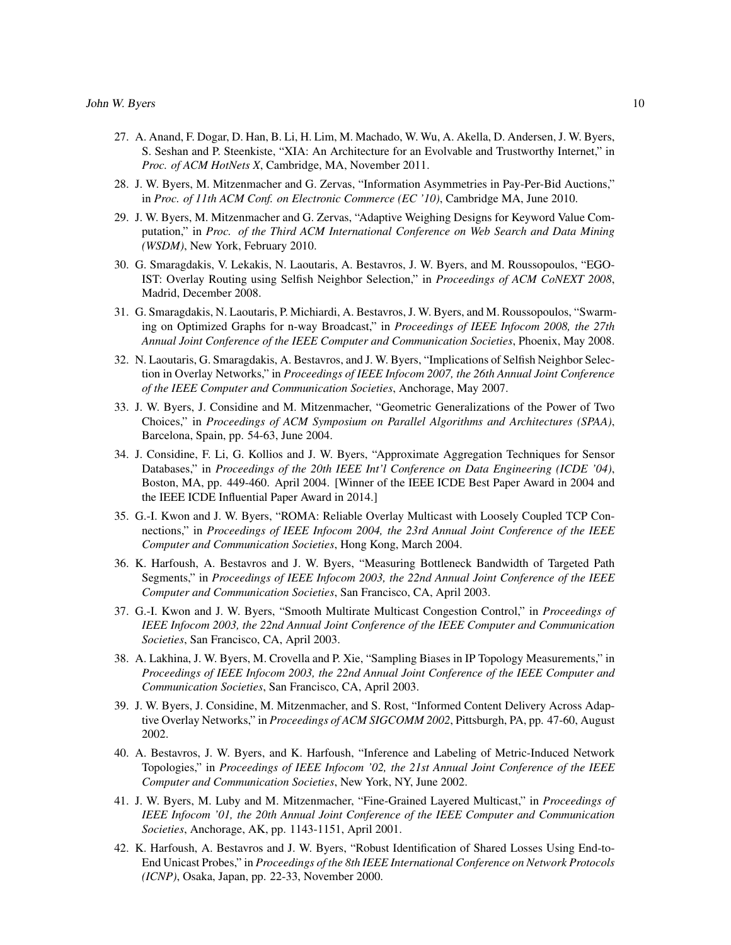- 27. A. Anand, F. Dogar, D. Han, B. Li, H. Lim, M. Machado, W. Wu, A. Akella, D. Andersen, J. W. Byers, S. Seshan and P. Steenkiste, "XIA: An Architecture for an Evolvable and Trustworthy Internet," in *Proc. of ACM HotNets X*, Cambridge, MA, November 2011.
- 28. J. W. Byers, M. Mitzenmacher and G. Zervas, "Information Asymmetries in Pay-Per-Bid Auctions," in *Proc. of 11th ACM Conf. on Electronic Commerce (EC '10)*, Cambridge MA, June 2010.
- 29. J. W. Byers, M. Mitzenmacher and G. Zervas, "Adaptive Weighing Designs for Keyword Value Computation," in *Proc. of the Third ACM International Conference on Web Search and Data Mining (WSDM)*, New York, February 2010.
- 30. G. Smaragdakis, V. Lekakis, N. Laoutaris, A. Bestavros, J. W. Byers, and M. Roussopoulos, "EGO-IST: Overlay Routing using Selfish Neighbor Selection," in *Proceedings of ACM CoNEXT 2008*, Madrid, December 2008.
- 31. G. Smaragdakis, N. Laoutaris, P. Michiardi, A. Bestavros, J. W. Byers, and M. Roussopoulos, "Swarming on Optimized Graphs for n-way Broadcast," in *Proceedings of IEEE Infocom 2008, the 27th Annual Joint Conference of the IEEE Computer and Communication Societies*, Phoenix, May 2008.
- 32. N. Laoutaris, G. Smaragdakis, A. Bestavros, and J. W. Byers, "Implications of Selfish Neighbor Selection in Overlay Networks," in *Proceedings of IEEE Infocom 2007, the 26th Annual Joint Conference of the IEEE Computer and Communication Societies*, Anchorage, May 2007.
- 33. J. W. Byers, J. Considine and M. Mitzenmacher, "Geometric Generalizations of the Power of Two Choices," in *Proceedings of ACM Symposium on Parallel Algorithms and Architectures (SPAA)*, Barcelona, Spain, pp. 54-63, June 2004.
- 34. J. Considine, F. Li, G. Kollios and J. W. Byers, "Approximate Aggregation Techniques for Sensor Databases," in *Proceedings of the 20th IEEE Int'l Conference on Data Engineering (ICDE '04)*, Boston, MA, pp. 449-460. April 2004. [Winner of the IEEE ICDE Best Paper Award in 2004 and the IEEE ICDE Influential Paper Award in 2014.]
- 35. G.-I. Kwon and J. W. Byers, "ROMA: Reliable Overlay Multicast with Loosely Coupled TCP Connections," in *Proceedings of IEEE Infocom 2004, the 23rd Annual Joint Conference of the IEEE Computer and Communication Societies*, Hong Kong, March 2004.
- 36. K. Harfoush, A. Bestavros and J. W. Byers, "Measuring Bottleneck Bandwidth of Targeted Path Segments," in *Proceedings of IEEE Infocom 2003, the 22nd Annual Joint Conference of the IEEE Computer and Communication Societies*, San Francisco, CA, April 2003.
- 37. G.-I. Kwon and J. W. Byers, "Smooth Multirate Multicast Congestion Control," in *Proceedings of IEEE Infocom 2003, the 22nd Annual Joint Conference of the IEEE Computer and Communication Societies*, San Francisco, CA, April 2003.
- 38. A. Lakhina, J. W. Byers, M. Crovella and P. Xie, "Sampling Biases in IP Topology Measurements," in *Proceedings of IEEE Infocom 2003, the 22nd Annual Joint Conference of the IEEE Computer and Communication Societies*, San Francisco, CA, April 2003.
- 39. J. W. Byers, J. Considine, M. Mitzenmacher, and S. Rost, "Informed Content Delivery Across Adaptive Overlay Networks," in *Proceedings of ACM SIGCOMM 2002*, Pittsburgh, PA, pp. 47-60, August 2002.
- 40. A. Bestavros, J. W. Byers, and K. Harfoush, "Inference and Labeling of Metric-Induced Network Topologies," in *Proceedings of IEEE Infocom '02, the 21st Annual Joint Conference of the IEEE Computer and Communication Societies*, New York, NY, June 2002.
- 41. J. W. Byers, M. Luby and M. Mitzenmacher, "Fine-Grained Layered Multicast," in *Proceedings of IEEE Infocom '01, the 20th Annual Joint Conference of the IEEE Computer and Communication Societies*, Anchorage, AK, pp. 1143-1151, April 2001.
- 42. K. Harfoush, A. Bestavros and J. W. Byers, "Robust Identification of Shared Losses Using End-to-End Unicast Probes," in *Proceedings of the 8th IEEE International Conference on Network Protocols (ICNP)*, Osaka, Japan, pp. 22-33, November 2000.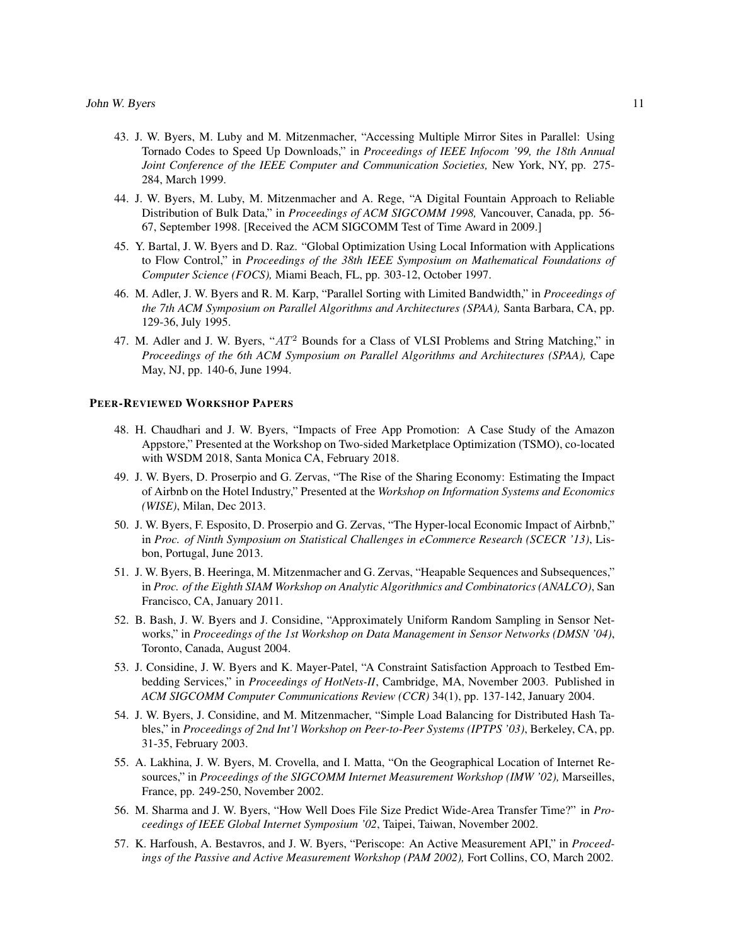- 43. J. W. Byers, M. Luby and M. Mitzenmacher, "Accessing Multiple Mirror Sites in Parallel: Using Tornado Codes to Speed Up Downloads," in *Proceedings of IEEE Infocom '99, the 18th Annual Joint Conference of the IEEE Computer and Communication Societies,* New York, NY, pp. 275- 284, March 1999.
- 44. J. W. Byers, M. Luby, M. Mitzenmacher and A. Rege, "A Digital Fountain Approach to Reliable Distribution of Bulk Data," in *Proceedings of ACM SIGCOMM 1998,* Vancouver, Canada, pp. 56- 67, September 1998. [Received the ACM SIGCOMM Test of Time Award in 2009.]
- 45. Y. Bartal, J. W. Byers and D. Raz. "Global Optimization Using Local Information with Applications to Flow Control," in *Proceedings of the 38th IEEE Symposium on Mathematical Foundations of Computer Science (FOCS),* Miami Beach, FL, pp. 303-12, October 1997.
- 46. M. Adler, J. W. Byers and R. M. Karp, "Parallel Sorting with Limited Bandwidth," in *Proceedings of the 7th ACM Symposium on Parallel Algorithms and Architectures (SPAA),* Santa Barbara, CA, pp. 129-36, July 1995.
- 47. M. Adler and J. W. Byers, " $AT^2$  Bounds for a Class of VLSI Problems and String Matching," in *Proceedings of the 6th ACM Symposium on Parallel Algorithms and Architectures (SPAA),* Cape May, NJ, pp. 140-6, June 1994.

#### PEER-REVIEWED WORKSHOP PAPERS

- 48. H. Chaudhari and J. W. Byers, "Impacts of Free App Promotion: A Case Study of the Amazon Appstore," Presented at the Workshop on Two-sided Marketplace Optimization (TSMO), co-located with WSDM 2018, Santa Monica CA, February 2018.
- 49. J. W. Byers, D. Proserpio and G. Zervas, "The Rise of the Sharing Economy: Estimating the Impact of Airbnb on the Hotel Industry," Presented at the *Workshop on Information Systems and Economics (WISE)*, Milan, Dec 2013.
- 50. J. W. Byers, F. Esposito, D. Proserpio and G. Zervas, "The Hyper-local Economic Impact of Airbnb," in *Proc. of Ninth Symposium on Statistical Challenges in eCommerce Research (SCECR '13)*, Lisbon, Portugal, June 2013.
- 51. J. W. Byers, B. Heeringa, M. Mitzenmacher and G. Zervas, "Heapable Sequences and Subsequences," in *Proc. of the Eighth SIAM Workshop on Analytic Algorithmics and Combinatorics (ANALCO)*, San Francisco, CA, January 2011.
- 52. B. Bash, J. W. Byers and J. Considine, "Approximately Uniform Random Sampling in Sensor Networks," in *Proceedings of the 1st Workshop on Data Management in Sensor Networks (DMSN '04)*, Toronto, Canada, August 2004.
- 53. J. Considine, J. W. Byers and K. Mayer-Patel, "A Constraint Satisfaction Approach to Testbed Embedding Services," in *Proceedings of HotNets-II*, Cambridge, MA, November 2003. Published in *ACM SIGCOMM Computer Communications Review (CCR)* 34(1), pp. 137-142, January 2004.
- 54. J. W. Byers, J. Considine, and M. Mitzenmacher, "Simple Load Balancing for Distributed Hash Tables," in *Proceedings of 2nd Int'l Workshop on Peer-to-Peer Systems (IPTPS '03)*, Berkeley, CA, pp. 31-35, February 2003.
- 55. A. Lakhina, J. W. Byers, M. Crovella, and I. Matta, "On the Geographical Location of Internet Resources," in *Proceedings of the SIGCOMM Internet Measurement Workshop (IMW '02),* Marseilles, France, pp. 249-250, November 2002.
- 56. M. Sharma and J. W. Byers, "How Well Does File Size Predict Wide-Area Transfer Time?" in *Proceedings of IEEE Global Internet Symposium '02*, Taipei, Taiwan, November 2002.
- 57. K. Harfoush, A. Bestavros, and J. W. Byers, "Periscope: An Active Measurement API," in *Proceedings of the Passive and Active Measurement Workshop (PAM 2002),* Fort Collins, CO, March 2002.